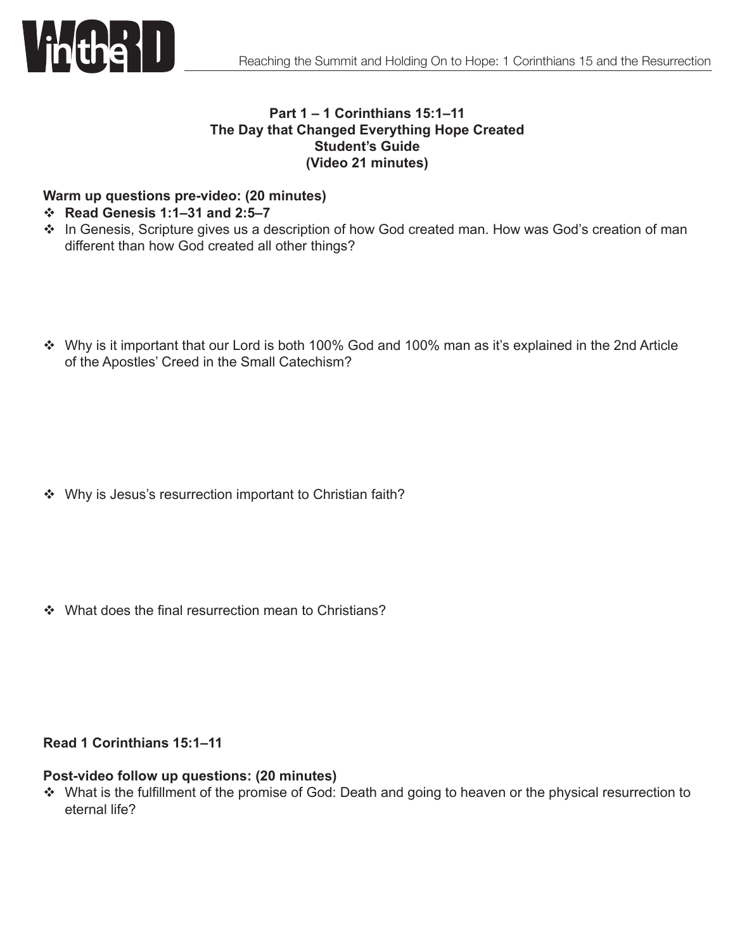

# **Part 1 – 1 Corinthians 15:1–11 The Day that Changed Everything Hope Created Student's Guide (Video 21 minutes)**

#### **Warm up questions pre-video: (20 minutes)**

#### **☆** Read Genesis 1:1-31 and 2:5-7

- \* In Genesis, Scripture gives us a description of how God created man. How was God's creation of man different than how God created all other things?
- Why is it important that our Lord is both 100% God and 100% man as it's explained in the 2nd Article of the Apostles' Creed in the Small Catechism?

❖ Why is Jesus's resurrection important to Christian faith?

❖ What does the final resurrection mean to Christians?

## **Read 1 Corinthians 15:1–11**

#### **Post-video follow up questions: (20 minutes)**

\* What is the fulfillment of the promise of God: Death and going to heaven or the physical resurrection to eternal life?